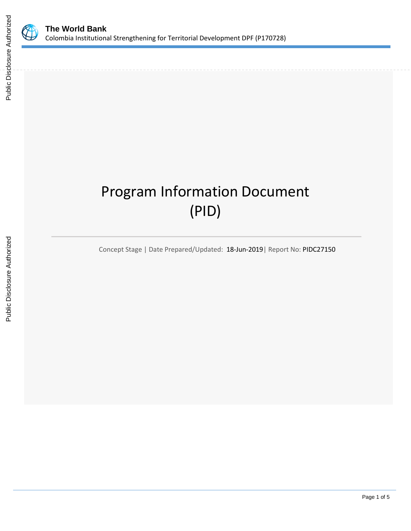

# Program Information Document (PID)

Concept Stage | Date Prepared/Updated: 18-Jun-2019| Report No: PIDC27150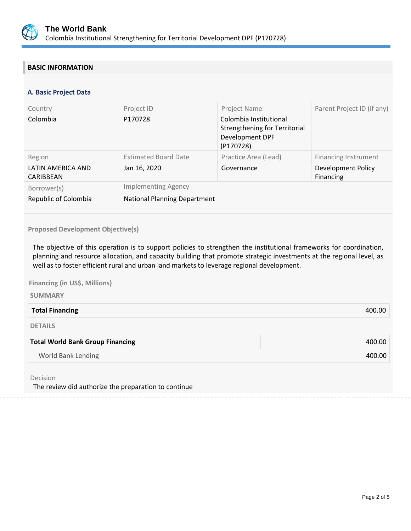

# **BASIC INFORMATION**

## **A. Basic Project Data**

| Country                        | Project ID                          | Project Name                                                                            | Parent Project ID (if any)      |
|--------------------------------|-------------------------------------|-----------------------------------------------------------------------------------------|---------------------------------|
| Colombia                       | P170728                             | Colombia Institutional<br>Strengthening for Territorial<br>Development DPF<br>(P170728) |                                 |
| Region                         | <b>Estimated Board Date</b>         | Practice Area (Lead)                                                                    | <b>Financing Instrument</b>     |
| LATIN AMERICA AND<br>CARIBBEAN | Jan 16, 2020                        | Governance                                                                              | Development Policy<br>Financing |
| Borrower(s)                    | <b>Implementing Agency</b>          |                                                                                         |                                 |
| Republic of Colombia           | <b>National Planning Department</b> |                                                                                         |                                 |

## **Proposed Development Objective(s)**

The objective of this operation is to support policies to strengthen the institutional frameworks for coordination, planning and resource allocation, and capacity building that promote strategic investments at the regional level, as well as to foster efficient rural and urban land markets to leverage regional development.

**Financing (in US\$, Millions)** 

#### **SUMMARY**

| <b>Total Financing</b> | 400.OC |
|------------------------|--------|
|                        |        |

DETAILS

| <b>Total World Bank Group Financing</b> | 400.00 |
|-----------------------------------------|--------|
| World Bank Lending                      | 400.00 |

Decision

The review did authorize the preparation to continue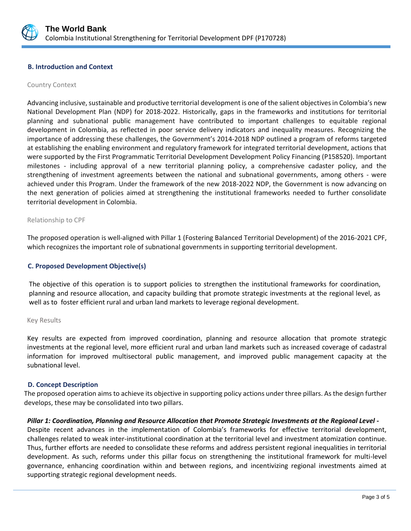

#### **B. Introduction and Context**

#### Country Context

Advancing inclusive, sustainable and productive territorial development is one of the salient objectives in Colombia's new National Development Plan (NDP) for 2018-2022. Historically, gaps in the frameworks and institutions for territorial planning and subnational public management have contributed to important challenges to equitable regional development in Colombia, as reflected in poor service delivery indicators and inequality measures. Recognizing the importance of addressing these challenges, the Government's 2014-2018 NDP outlined a program of reforms targeted at establishing the enabling environment and regulatory framework for integrated territorial development, actions that were supported by the First Programmatic Territorial Development Development Policy Financing (P158520). Important milestones - including approval of a new territorial planning policy, a comprehensive cadaster policy, and the strengthening of investment agreements between the national and subnational governments, among others - were achieved under this Program. Under the framework of the new 2018-2022 NDP, the Government is now advancing on the next generation of policies aimed at strengthening the institutional frameworks needed to further consolidate territorial development in Colombia.

#### Relationship to CPF

The proposed operation is well-aligned with Pillar 1 (Fostering Balanced Territorial Development) of the 2016-2021 CPF, which recognizes the important role of subnational governments in supporting territorial development.

#### **C. Proposed Development Objective(s)**

The objective of this operation is to support policies to strengthen the institutional frameworks for coordination, planning and resource allocation, and capacity building that promote strategic investments at the regional level, as well as to foster efficient rural and urban land markets to leverage regional development.

#### Key Results

Key results are expected from improved coordination, planning and resource allocation that promote strategic investments at the regional level, more efficient rural and urban land markets such as increased coverage of cadastral information for improved multisectoral public management, and improved public management capacity at the subnational level.

#### **D. Concept Description**

The proposed operation aims to achieve its objective in supporting policy actions under three pillars. As the design further develops, these may be consolidated into two pillars.

#### *Pillar 1: Coordination, Planning and Resource Allocation that Promote Strategic Investments at the Regional Level -*

Despite recent advances in the implementation of Colombia's frameworks for effective territorial development, challenges related to weak inter-institutional coordination at the territorial level and investment atomization continue. Thus, further efforts are needed to consolidate these reforms and address persistent regional inequalities in territorial development. As such, reforms under this pillar focus on strengthening the institutional framework for multi-level governance, enhancing coordination within and between regions, and incentivizing regional investments aimed at supporting strategic regional development needs.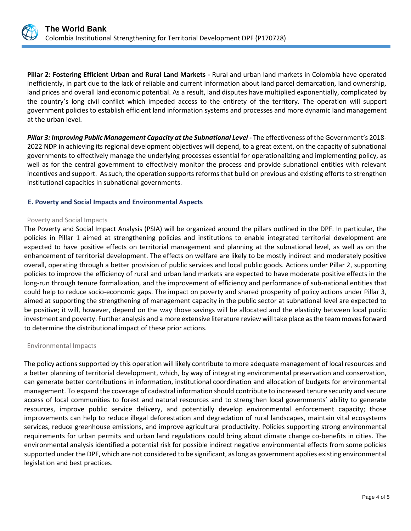

**Pillar 2: Fostering Efficient Urban and Rural Land Markets -** Rural and urban land markets in Colombia have operated inefficiently, in part due to the lack of reliable and current information about land parcel demarcation, land ownership, land prices and overall land economic potential. As a result, land disputes have multiplied exponentially, complicated by the country's long civil conflict which impeded access to the entirety of the territory. The operation will support government policies to establish efficient land information systems and processes and more dynamic land management at the urban level.

*Pillar 3: Improving Public Management Capacity at the Subnational Level -* The effectiveness of the Government's 2018- 2022 NDP in achieving its regional development objectives will depend, to a great extent, on the capacity of subnational governments to effectively manage the underlying processes essential for operationalizing and implementing policy, as well as for the central government to effectively monitor the process and provide subnational entities with relevant incentives and support. As such, the operation supports reforms that build on previous and existing efforts to strengthen institutional capacities in subnational governments.

## **E. Poverty and Social Impacts and Environmental Aspects**

#### Poverty and Social Impacts

The Poverty and Social Impact Analysis (PSIA) will be organized around the pillars outlined in the DPF. In particular, the policies in Pillar 1 aimed at strengthening policies and institutions to enable integrated territorial development are expected to have positive effects on territorial management and planning at the subnational level, as well as on the enhancement of territorial development. The effects on welfare are likely to be mostly indirect and moderately positive overall, operating through a better provision of public services and local public goods. Actions under Pillar 2, supporting policies to improve the efficiency of rural and urban land markets are expected to have moderate positive effects in the long-run through tenure formalization, and the improvement of efficiency and performance of sub-national entities that could help to reduce socio-economic gaps. The impact on poverty and shared prosperity of policy actions under Pillar 3, aimed at supporting the strengthening of management capacity in the public sector at subnational level are expected to be positive; it will, however, depend on the way those savings will be allocated and the elasticity between local public investment and poverty. Further analysis and a more extensive literature review will take place as the team moves forward to determine the distributional impact of these prior actions.

#### Environmental Impacts

The policy actions supported by this operation will likely contribute to more adequate management of local resources and a better planning of territorial development, which, by way of integrating environmental preservation and conservation, can generate better contributions in information, institutional coordination and allocation of budgets for environmental management. To expand the coverage of cadastral information should contribute to increased tenure security and secure access of local communities to forest and natural resources and to strengthen local governments' ability to generate resources, improve public service delivery, and potentially develop environmental enforcement capacity; those improvements can help to reduce illegal deforestation and degradation of rural landscapes, maintain vital ecosystems services, reduce greenhouse emissions, and improve agricultural productivity. Policies supporting strong environmental requirements for urban permits and urban land regulations could bring about climate change co-benefits in cities. The environmental analysis identified a potential risk for possible indirect negative environmental effects from some policies supported under the DPF, which are not considered to be significant, as long as government applies existing environmental legislation and best practices.